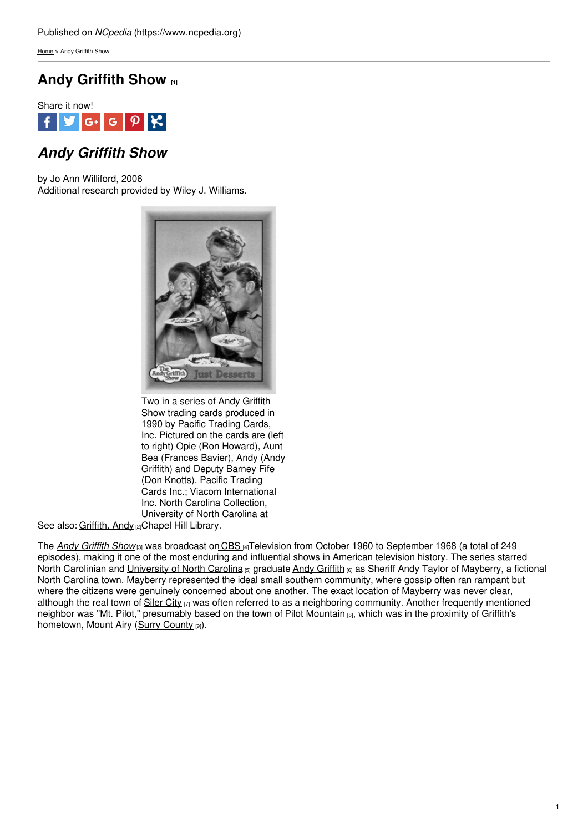[Home](https://www.ncpedia.org/) > Andy Griffith Show

# **Andy [Griffith](https://www.ncpedia.org/andy-griffith-show) Show [1]**



# *Andy Griffith Show*

by Jo Ann Williford, 2006 Additional research provided by Wiley J. Williams.



Two in a series of Andy Griffith Show trading cards produced in 1990 by Pacific Trading Cards, Inc. Pictured on the cards are (left to right) Opie (Ron Howard), Aunt Bea (Frances Bavier), Andy (Andy Griffith) and Deputy Barney Fife (Don Knotts). Pacific Trading Cards Inc.; Viacom International Inc. North Carolina Collection, University of North Carolina at

See also: <u>[Griffith,](https://www.ncpedia.org/griffith-andy) Andy</u> <sub>[2]</sub>Chapel Hill Library.

The *Andy [Griffith](https://www.imdb.com/title/tt0053479/) Show* [3] was broadcast on [CBS](http://www.cbs.com/) [4]Television from October 1960 to September 1968 (a total of 249 episodes), making it one of the most enduring and influential shows in American television history. The series starred North Carolinian and [University](https://www.ncpedia.org/university-north-carolina-chapel-hi) of North Carolina <sub>[5]</sub> graduate Andy [Griffith](https://www.imdb.com/name/nm0341431/) <sub>[6]</sub> as Sheriff Andy Taylor of Mayberry, a fictional North Carolina town. Mayberry represented the ideal small southern community, where gossip often ran rampant but where the citizens were genuinely concerned about one another. The exact location of Mayberry was never clear, although the real town of [Siler](http://www.silercity.org/) City  $[7]$  was often referred to as a neighboring community. Another frequently mentioned neighbor was "Mt. Pilot," presumably based on the town of Pilot [Mountain](https://www.ncpedia.org/pilot-mountain) [8], which was in the proximity of Griffith's hometown, Mount Airy (Surry [County](https://www.ncpedia.org/geography/surry) [9]).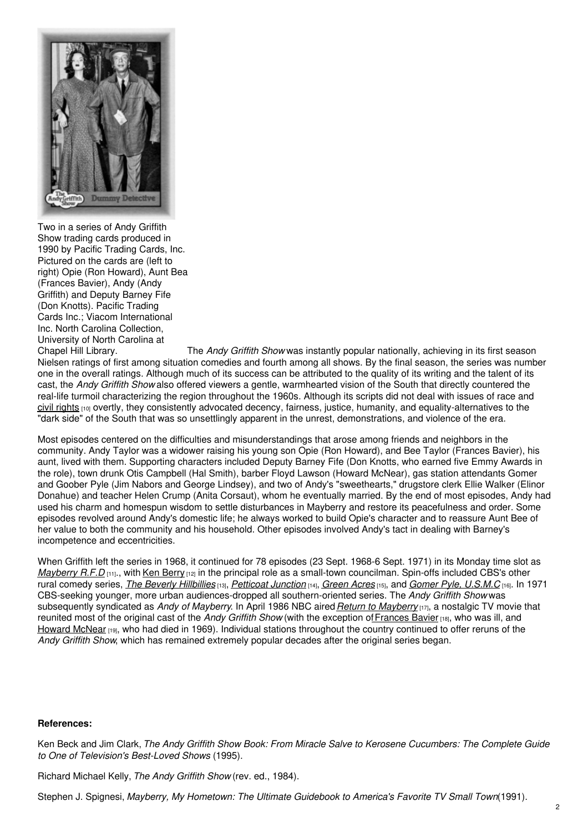

Two in a series of Andy Griffith Show trading cards produced in 1990 by Pacific Trading Cards, Inc. Pictured on the cards are (left to right) Opie (Ron Howard), Aunt Bea (Frances Bavier), Andy (Andy Griffith) and Deputy Barney Fife (Don Knotts). Pacific Trading Cards Inc.; Viacom International Inc. North Carolina Collection, University of North Carolina at<br>Chapel Hill Library.

The *Andy Griffith Show* was instantly popular nationally, achieving in its first season Nielsen ratings of first among situation comedies and fourth among all shows. By the final season, the series was number one in the overall ratings. Although much of its success can be attributed to the quality of its writing and the talent of its cast, the *Andy Griffith Show* also offered viewers a gentle, warmhearted vision of the South that directly countered the real-life turmoil characterizing the region throughout the 1960s. Although its scripts did not deal with issues of race and civil [rights](https://www.ncpedia.org/civil-rights-movement)  $100$  overtly, they consistently advocated decency, fairness, justice, humanity, and equality-alternatives to the "dark side" of the South that was so unsettlingly apparent in the unrest, demonstrations, and violence of the era.

Most episodes centered on the difficulties and misunderstandings that arose among friends and neighbors in the community. Andy Taylor was a widower raising his young son Opie (Ron Howard), and Bee Taylor (Frances Bavier), his aunt, lived with them. Supporting characters included Deputy Barney Fife (Don Knotts, who earned five Emmy Awards in the role), town drunk Otis Campbell (Hal Smith), barber Floyd Lawson (Howard McNear), gas station attendants Gomer and Goober Pyle (Jim Nabors and George Lindsey), and two of Andy's "sweethearts," drugstore clerk Ellie Walker (Elinor Donahue) and teacher Helen Crump (Anita Corsaut), whom he eventually married. By the end of most episodes, Andy had used his charm and homespun wisdom to settle disturbances in Mayberry and restore its peacefulness and order. Some episodes revolved around Andy's domestic life; he always worked to build Opie's character and to reassure Aunt Bee of her value to both the community and his household. Other episodes involved Andy's tact in dealing with Barney's incompetence and eccentricities.

When Griffith left the series in 1968, it continued for 78 episodes (23 Sept. 1968-6 Sept. 1971) in its Monday time slot as *[Mayberry](https://www.imdb.com/title/tt0062587/) R.F.D* [11]., with Ken [Berry](https://www.imdb.com/name/nm0077607/) [12] in the principal role as a small-town councilman. Spin-offs included CBS's other rural comedy series, *The Beverly [Hillbillies](https://www.imdb.com/title/tt0055662/)* [13], *[Petticoat](https://www.imdb.com/title/tt0056780/) Junction* [14], *[Green](https://www.imdb.com/title/tt0058808/) Acres* [15], and *Gomer Pyle, [U.S.M.C](https://www.imdb.com/title/tt0057752/)* [16]. In 1971 CBS-seeking younger, more urban audiences-dropped all southern-oriented series. The *Andy Griffith Show* was subsequently syndicated as *Andy of Mayberry*. In April 1986 NBC aired*Return to [Mayberry](https://www.imdb.com/title/tt0091846/)* [17], a nostalgic TV movie that reunited most of the original cast of the *Andy Griffith Show* (with the exception o[fFrances](https://www.imdb.com/name/nm0062592/) Bavier [18], who was ill, and [Howard](https://www.imdb.com/name/nm0573830/) McNear [19], who had died in 1969). Individual stations throughout the country continued to offer reruns of the *Andy Griffith Show*, which has remained extremely popular decades after the original series began.

### **References:**

Ken Beck and Jim Clark, *The Andy Griffith Show Book: From Miracle Salve to Kerosene Cucumbers: The Complete Guide to One of Television's Best-Loved Shows* (1995).

Richard Michael Kelly, *The Andy Griffith Show* (rev. ed., 1984).

Stephen J. Spignesi, *Mayberry, My Hometown: The Ultimate Guidebook to America's Favorite TV Small Town*(1991).